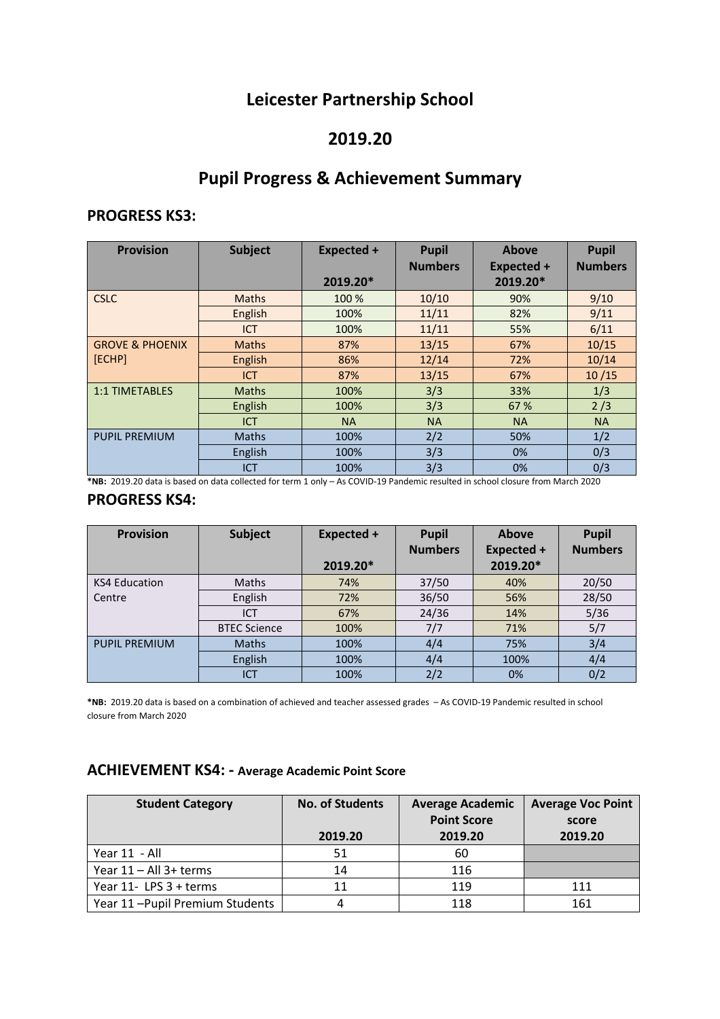## **Leicester Partnership School**

## **2019.20**

# **Pupil Progress & Achievement Summary**

#### **PROGRESS KS3:**

| <b>Provision</b>           | <b>Subject</b> | Expected + | <b>Pupil</b>   | <b>Above</b>      | <b>Pupil</b>   |
|----------------------------|----------------|------------|----------------|-------------------|----------------|
|                            |                |            | <b>Numbers</b> | <b>Expected +</b> | <b>Numbers</b> |
|                            |                | 2019.20*   |                | 2019.20*          |                |
| <b>CSLC</b>                | <b>Maths</b>   | 100 %      | 10/10          | 90%               | 9/10           |
|                            | English        | 100%       | 11/11          | 82%               | 9/11           |
|                            | <b>ICT</b>     | 100%       | 11/11          | 55%               | 6/11           |
| <b>GROVE &amp; PHOENIX</b> | <b>Maths</b>   | 87%        | 13/15          | 67%               | 10/15          |
| [ECHP]                     | English        | 86%        | 12/14          | 72%               | 10/14          |
|                            | <b>ICT</b>     | 87%        | 13/15          | 67%               | 10/15          |
| <b>1:1 TIMETABLES</b>      | <b>Maths</b>   | 100%       | 3/3            | 33%               | 1/3            |
|                            | English        | 100%       | 3/3            | 67 %              | 2/3            |
|                            | <b>ICT</b>     | <b>NA</b>  | <b>NA</b>      | <b>NA</b>         | <b>NA</b>      |
| <b>PUPIL PREMIUM</b>       | <b>Maths</b>   | 100%       | 2/2            | 50%               | 1/2            |
|                            | English        | 100%       | 3/3            | 0%                | 0/3            |
|                            | <b>ICT</b>     | 100%       | 3/3            | 0%                | 0/3            |

**\*NB:** 2019.20 data is based on data collected for term 1 only – As COVID-19 Pandemic resulted in school closure from March 2020

#### **PROGRESS KS4:**

| <b>Provision</b>     | <b>Subject</b>      | Expected + | <b>Pupil</b>   | Above             | <b>Pupil</b>   |
|----------------------|---------------------|------------|----------------|-------------------|----------------|
|                      |                     |            | <b>Numbers</b> | <b>Expected +</b> | <b>Numbers</b> |
|                      |                     | 2019.20*   |                | 2019.20*          |                |
| <b>KS4 Education</b> | <b>Maths</b>        | 74%        | 37/50          | 40%               | 20/50          |
| Centre               | English             | 72%        | 36/50          | 56%               | 28/50          |
|                      | ICT                 | 67%        | 24/36          | 14%               | 5/36           |
|                      | <b>BTEC Science</b> | 100%       | 7/7            | 71%               | 5/7            |
| <b>PUPIL PREMIUM</b> | <b>Maths</b>        | 100%       | 4/4            | 75%               | 3/4            |
|                      | English             | 100%       | 4/4            | 100%              | 4/4            |
|                      | <b>ICT</b>          | 100%       | 2/2            | 0%                | 0/2            |

**\*NB:** 2019.20 data is based on a combination of achieved and teacher assessed grades – As COVID-19 Pandemic resulted in school closure from March 2020

## **ACHIEVEMENT KS4: - Average Academic Point Score**

| <b>Student Category</b>        | <b>No. of Students</b> | <b>Average Academic</b> | <b>Average Voc Point</b> |
|--------------------------------|------------------------|-------------------------|--------------------------|
|                                |                        | <b>Point Score</b>      | score                    |
|                                | 2019.20                | 2019.20                 | 2019.20                  |
| Year 11 - All                  | 51                     | 60                      |                          |
| Year $11 - All$ 3+ terms       | 14                     | 116                     |                          |
| Year 11- LPS 3 + terms         | 11                     | 119                     | 111                      |
| Year 11-Pupil Premium Students |                        | 118                     | 161                      |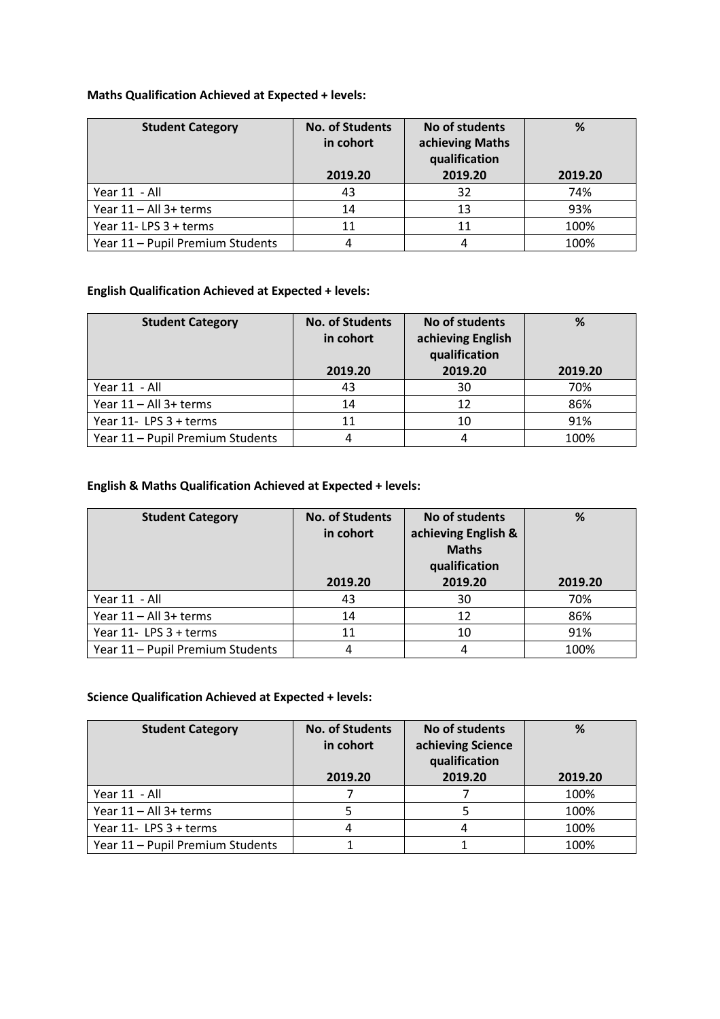### **Maths Qualification Achieved at Expected + levels:**

| <b>Student Category</b>          | <b>No. of Students</b><br>in cohort<br>2019.20 | No of students<br>achieving Maths<br>qualification<br>2019.20 | %<br>2019.20 |
|----------------------------------|------------------------------------------------|---------------------------------------------------------------|--------------|
| Year 11 - All                    | 43                                             | 32                                                            | 74%          |
| Year 11 - All 3+ terms           | 14                                             | 13                                                            | 93%          |
| Year 11-LPS 3 + terms            | 11                                             | 11                                                            | 100%         |
| Year 11 - Pupil Premium Students |                                                |                                                               | 100%         |

### **English Qualification Achieved at Expected + levels:**

| <b>Student Category</b>          | <b>No. of Students</b><br>in cohort | No of students<br>achieving English<br>qualification | %       |
|----------------------------------|-------------------------------------|------------------------------------------------------|---------|
|                                  | 2019.20                             | 2019.20                                              | 2019.20 |
| Year 11 - All                    | 43                                  | 30                                                   | 70%     |
| Year 11 - All 3+ terms           | 14                                  | 12                                                   | 86%     |
| Year 11- LPS 3 + terms           | 11                                  | 10                                                   | 91%     |
| Year 11 - Pupil Premium Students |                                     |                                                      | 100%    |

#### **English & Maths Qualification Achieved at Expected + levels:**

| <b>Student Category</b>          | <b>No. of Students</b><br>in cohort<br>2019.20 | No of students<br>achieving English &<br><b>Maths</b><br>qualification<br>2019.20 | %<br>2019.20 |
|----------------------------------|------------------------------------------------|-----------------------------------------------------------------------------------|--------------|
| Year 11 - All                    | 43                                             | 30                                                                                | 70%          |
| Year 11 - All 3+ terms           | 14                                             | 12                                                                                | 86%          |
| Year 11- LPS 3 + terms           | 11                                             | 10                                                                                | 91%          |
| Year 11 - Pupil Premium Students | 4                                              | 4                                                                                 | 100%         |

#### **Science Qualification Achieved at Expected + levels:**

| <b>Student Category</b>          | <b>No. of Students</b><br>in cohort<br>2019.20 | No of students<br>achieving Science<br>qualification<br>2019.20 | %<br>2019.20 |
|----------------------------------|------------------------------------------------|-----------------------------------------------------------------|--------------|
|                                  |                                                |                                                                 |              |
| Year 11 - All                    |                                                |                                                                 | 100%         |
| Year 11 - All 3+ terms           |                                                |                                                                 | 100%         |
| Year 11- LPS 3 + terms           | 4                                              |                                                                 | 100%         |
| Year 11 - Pupil Premium Students |                                                |                                                                 | 100%         |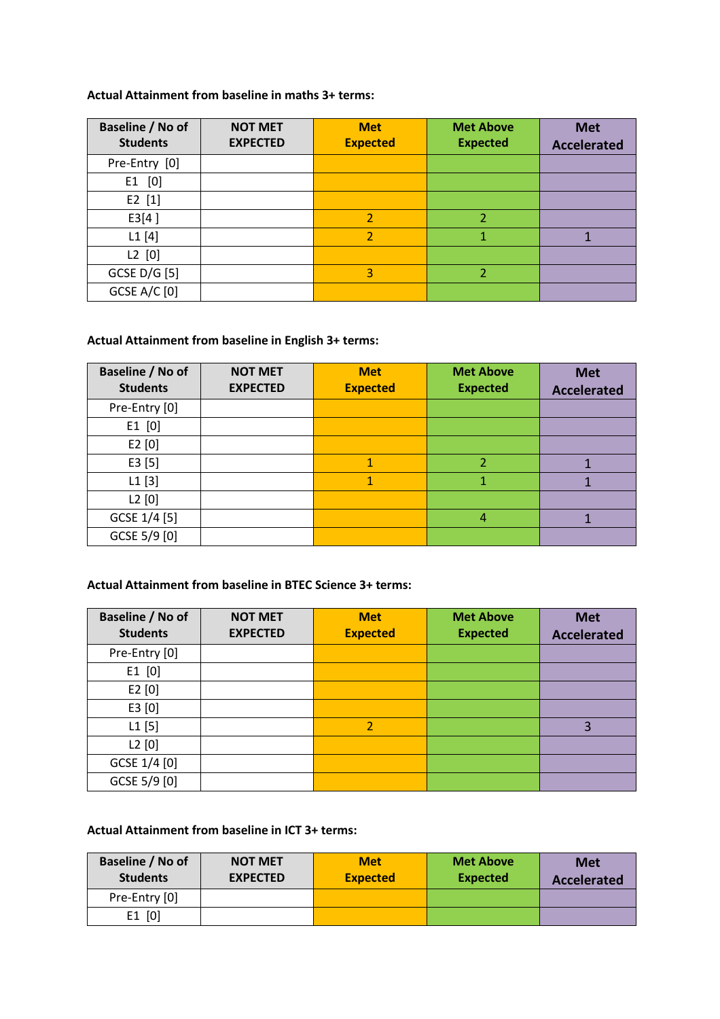#### **Actual Attainment from baseline in maths 3+ terms:**

| Baseline / No of<br><b>Students</b> | <b>NOT MET</b><br><b>EXPECTED</b> | <b>Met</b><br><b>Expected</b> | <b>Met Above</b><br><b>Expected</b> | <b>Met</b><br><b>Accelerated</b> |
|-------------------------------------|-----------------------------------|-------------------------------|-------------------------------------|----------------------------------|
| Pre-Entry [0]                       |                                   |                               |                                     |                                  |
| $E1$ [0]                            |                                   |                               |                                     |                                  |
| $E2$ [1]                            |                                   |                               |                                     |                                  |
| E3[4]                               |                                   | $\overline{\mathbf{c}}$       | $\overline{\mathcal{L}}$            |                                  |
| L1[4]                               |                                   | $\overline{2}$                | 1                                   |                                  |
| L2 [0]                              |                                   |                               |                                     |                                  |
| GCSE D/G [5]                        |                                   | 3                             | $\overline{\mathcal{L}}$            |                                  |
| <b>GCSE A/C [0]</b>                 |                                   |                               |                                     |                                  |

## **Actual Attainment from baseline in English 3+ terms:**

| Baseline / No of<br><b>Students</b> | <b>NOT MET</b><br><b>EXPECTED</b> | <b>Met</b><br><b>Expected</b> | <b>Met Above</b><br><b>Expected</b> | <b>Met</b><br><b>Accelerated</b> |
|-------------------------------------|-----------------------------------|-------------------------------|-------------------------------------|----------------------------------|
| Pre-Entry [0]                       |                                   |                               |                                     |                                  |
| $E1$ [0]                            |                                   |                               |                                     |                                  |
| E2[0]                               |                                   |                               |                                     |                                  |
| E3[5]                               |                                   |                               | $\overline{2}$                      |                                  |
| L1[3]                               |                                   | 1                             | 1                                   |                                  |
| L2[0]                               |                                   |                               |                                     |                                  |
| GCSE 1/4 [5]                        |                                   |                               | 4                                   |                                  |
| GCSE 5/9 [0]                        |                                   |                               |                                     |                                  |

#### **Actual Attainment from baseline in BTEC Science 3+ terms:**

| Baseline / No of<br><b>Students</b> | <b>NOT MET</b><br><b>EXPECTED</b> | <b>Met</b><br><b>Expected</b> | <b>Met Above</b><br><b>Expected</b> | <b>Met</b><br><b>Accelerated</b> |
|-------------------------------------|-----------------------------------|-------------------------------|-------------------------------------|----------------------------------|
| Pre-Entry [0]                       |                                   |                               |                                     |                                  |
| $E1$ [0]                            |                                   |                               |                                     |                                  |
| E2[0]                               |                                   |                               |                                     |                                  |
| E3[0]                               |                                   |                               |                                     |                                  |
| $L1$ [5]                            |                                   | $\overline{2}$                |                                     | 3                                |
| L2[0]                               |                                   |                               |                                     |                                  |
| GCSE 1/4 [0]                        |                                   |                               |                                     |                                  |
| GCSE 5/9 [0]                        |                                   |                               |                                     |                                  |

#### **Actual Attainment from baseline in ICT 3+ terms:**

| Baseline / No of<br><b>Students</b> | <b>NOT MET</b><br><b>EXPECTED</b> | <b>Met</b><br><b>Expected</b> | <b>Met Above</b><br><b>Expected</b> | <b>Met</b><br><b>Accelerated</b> |
|-------------------------------------|-----------------------------------|-------------------------------|-------------------------------------|----------------------------------|
| Pre-Entry [0]                       |                                   |                               |                                     |                                  |
| $E1$ [0]                            |                                   |                               |                                     |                                  |